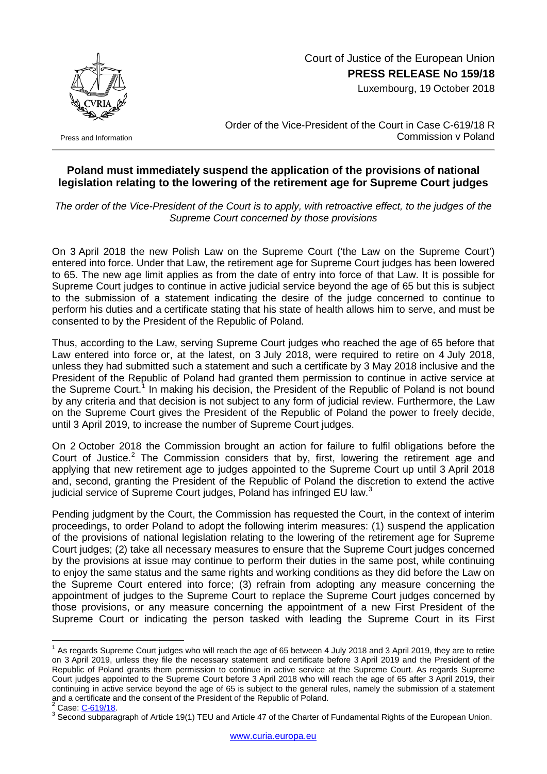

Court of Justice of the European Union **PRESS RELEASE No 159/18**

Luxembourg, 19 October 2018

Press and Information

Order of the Vice-President of the Court in Case C-619/18 R Commission v Poland

## **Poland must immediately suspend the application of the provisions of national legislation relating to the lowering of the retirement age for Supreme Court judges**

*The order of the Vice-President of the Court is to apply, with retroactive effect, to the judges of the Supreme Court concerned by those provisions*

On 3 April 2018 the new Polish Law on the Supreme Court ('the Law on the Supreme Court') entered into force. Under that Law, the retirement age for Supreme Court judges has been lowered to 65. The new age limit applies as from the date of entry into force of that Law. It is possible for Supreme Court judges to continue in active judicial service beyond the age of 65 but this is subject to the submission of a statement indicating the desire of the judge concerned to continue to perform his duties and a certificate stating that his state of health allows him to serve, and must be consented to by the President of the Republic of Poland.

Thus, according to the Law, serving Supreme Court judges who reached the age of 65 before that Law entered into force or, at the latest, on 3 July 2018, were required to retire on 4 July 2018, unless they had submitted such a statement and such a certificate by 3 May 2018 inclusive and the President of the Republic of Poland had granted them permission to continue in active service at the Supreme Court.<sup>[1](#page-0-0)</sup> In making his decision, the President of the Republic of Poland is not bound by any criteria and that decision is not subject to any form of judicial review. Furthermore, the Law on the Supreme Court gives the President of the Republic of Poland the power to freely decide, until 3 April 2019, to increase the number of Supreme Court judges.

On 2 October 2018 the Commission brought an action for failure to fulfil obligations before the Court of Justice.<sup>[2](#page-0-1)</sup> The Commission considers that by, first, lowering the retirement age and applying that new retirement age to judges appointed to the Supreme Court up until 3 April 2018 and, second, granting the President of the Republic of Poland the discretion to extend the active judicial service of Supreme Court judges, Poland has infringed EU law.<sup>[3](#page-0-2)</sup>

Pending judgment by the Court, the Commission has requested the Court, in the context of interim proceedings, to order Poland to adopt the following interim measures: (1) suspend the application of the provisions of national legislation relating to the lowering of the retirement age for Supreme Court judges; (2) take all necessary measures to ensure that the Supreme Court judges concerned by the provisions at issue may continue to perform their duties in the same post, while continuing to enjoy the same status and the same rights and working conditions as they did before the Law on the Supreme Court entered into force; (3) refrain from adopting any measure concerning the appointment of judges to the Supreme Court to replace the Supreme Court judges concerned by those provisions, or any measure concerning the appointment of a new First President of the Supreme Court or indicating the person tasked with leading the Supreme Court in its First

<span id="page-0-0"></span> $1$  As regards Supreme Court judges who will reach the age of 65 between 4 July 2018 and 3 April 2019, they are to retire on 3 April 2019, unless they file the necessary statement and certificate before 3 April 2019 and the President of the Republic of Poland grants them permission to continue in active service at the Supreme Court. As regards Supreme Court judges appointed to the Supreme Court before 3 April 2018 who will reach the age of 65 after 3 April 2019, their continuing in active service beyond the age of 65 is subject to the general rules, namely the submission of a statement and a certificate and the consent of the President of the Republic of Poland.<br>
<sup>2</sup> Case: C-619/18.

<span id="page-0-1"></span>

<span id="page-0-2"></span><sup>&</sup>lt;sup>3</sup> Second subparagraph of Article 19(1) TEU and Article 47 of the Charter of Fundamental Rights of the European Union.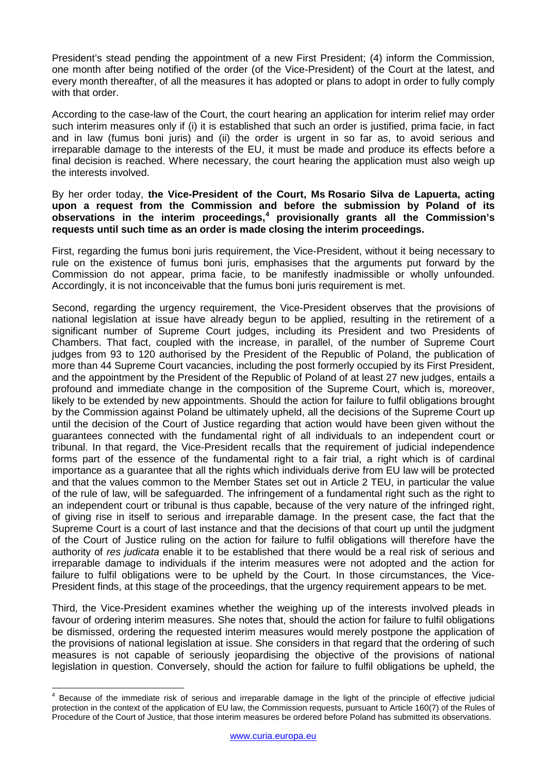President's stead pending the appointment of a new First President; (4) inform the Commission, one month after being notified of the order (of the Vice-President) of the Court at the latest, and every month thereafter, of all the measures it has adopted or plans to adopt in order to fully comply with that order.

According to the case-law of the Court, the court hearing an application for interim relief may order such interim measures only if (i) it is established that such an order is justified, prima facie, in fact and in law (fumus boni juris) and (ii) the order is urgent in so far as, to avoid serious and irreparable damage to the interests of the EU, it must be made and produce its effects before a final decision is reached. Where necessary, the court hearing the application must also weigh up the interests involved.

## By her order today, **the Vice-President of the Court, Ms Rosario Silva de Lapuerta, acting upon a request from the Commission and before the submission by Poland of its observations in the interim proceedings, [4](#page-1-0) provisionally grants all the Commission's requests until such time as an order is made closing the interim proceedings.**

First, regarding the fumus boni juris requirement, the Vice-President, without it being necessary to rule on the existence of fumus boni juris, emphasises that the arguments put forward by the Commission do not appear, prima facie, to be manifestly inadmissible or wholly unfounded. Accordingly, it is not inconceivable that the fumus boni juris requirement is met.

Second, regarding the urgency requirement, the Vice-President observes that the provisions of national legislation at issue have already begun to be applied, resulting in the retirement of a significant number of Supreme Court judges, including its President and two Presidents of Chambers. That fact, coupled with the increase, in parallel, of the number of Supreme Court judges from 93 to 120 authorised by the President of the Republic of Poland, the publication of more than 44 Supreme Court vacancies, including the post formerly occupied by its First President, and the appointment by the President of the Republic of Poland of at least 27 new judges, entails a profound and immediate change in the composition of the Supreme Court, which is, moreover, likely to be extended by new appointments. Should the action for failure to fulfil obligations brought by the Commission against Poland be ultimately upheld, all the decisions of the Supreme Court up until the decision of the Court of Justice regarding that action would have been given without the guarantees connected with the fundamental right of all individuals to an independent court or tribunal. In that regard, the Vice-President recalls that the requirement of judicial independence forms part of the essence of the fundamental right to a fair trial, a right which is of cardinal importance as a guarantee that all the rights which individuals derive from EU law will be protected and that the values common to the Member States set out in Article 2 TEU, in particular the value of the rule of law, will be safeguarded. The infringement of a fundamental right such as the right to an independent court or tribunal is thus capable, because of the very nature of the infringed right, of giving rise in itself to serious and irreparable damage. In the present case, the fact that the Supreme Court is a court of last instance and that the decisions of that court up until the judgment of the Court of Justice ruling on the action for failure to fulfil obligations will therefore have the authority of *res judicata* enable it to be established that there would be a real risk of serious and irreparable damage to individuals if the interim measures were not adopted and the action for failure to fulfil obligations were to be upheld by the Court. In those circumstances, the Vice-President finds, at this stage of the proceedings, that the urgency requirement appears to be met.

Third, the Vice-President examines whether the weighing up of the interests involved pleads in favour of ordering interim measures. She notes that, should the action for failure to fulfil obligations be dismissed, ordering the requested interim measures would merely postpone the application of the provisions of national legislation at issue. She considers in that regard that the ordering of such measures is not capable of seriously jeopardising the objective of the provisions of national legislation in question. Conversely, should the action for failure to fulfil obligations be upheld, the

<span id="page-1-0"></span><sup>4</sup> Because of the immediate risk of serious and irreparable damage in the light of the principle of effective judicial protection in the context of the application of EU law, the Commission requests, pursuant to Article 160(7) of the Rules of Procedure of the Court of Justice, that those interim measures be ordered before Poland has submitted its observations.